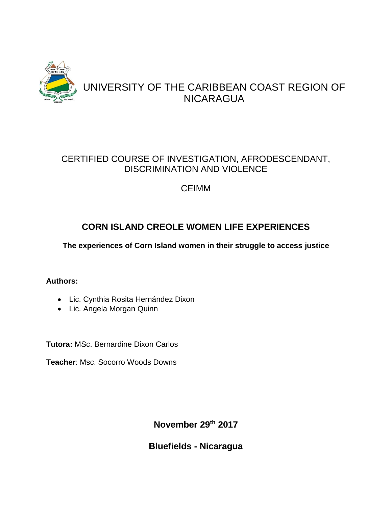

# CERTIFIED COURSE OF INVESTIGATION, AFRODESCENDANT, DISCRIMINATION AND VIOLENCE

# CEIMM

# **CORN ISLAND CREOLE WOMEN LIFE EXPERIENCES**

**The experiences of Corn Island women in their struggle to access justice**

## **Authors:**

- Lic. Cynthia Rosita Hernández Dixon
- Lic. Angela Morgan Quinn

**Tutora:** MSc. Bernardine Dixon Carlos

**Teacher**: Msc. Socorro Woods Downs

**November 29th 2017**

**Bluefields - Nicaragua**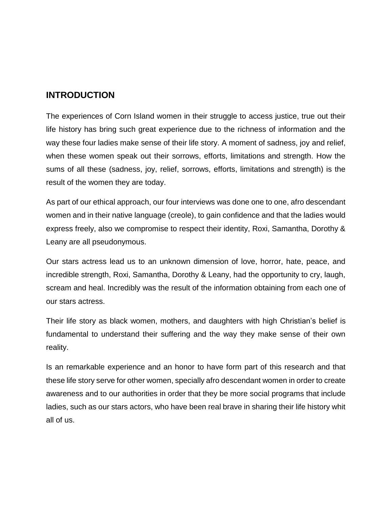## **INTRODUCTION**

The experiences of Corn Island women in their struggle to access justice, true out their life history has bring such great experience due to the richness of information and the way these four ladies make sense of their life story. A moment of sadness, joy and relief, when these women speak out their sorrows, efforts, limitations and strength. How the sums of all these (sadness, joy, relief, sorrows, efforts, limitations and strength) is the result of the women they are today.

As part of our ethical approach, our four interviews was done one to one, afro descendant women and in their native language (creole), to gain confidence and that the ladies would express freely, also we compromise to respect their identity, Roxi, Samantha, Dorothy & Leany are all pseudonymous.

Our stars actress lead us to an unknown dimension of love, horror, hate, peace, and incredible strength, Roxi, Samantha, Dorothy & Leany, had the opportunity to cry, laugh, scream and heal. Incredibly was the result of the information obtaining from each one of our stars actress.

Their life story as black women, mothers, and daughters with high Christian's belief is fundamental to understand their suffering and the way they make sense of their own reality.

Is an remarkable experience and an honor to have form part of this research and that these life story serve for other women, specially afro descendant women in order to create awareness and to our authorities in order that they be more social programs that include ladies, such as our stars actors, who have been real brave in sharing their life history whit all of us.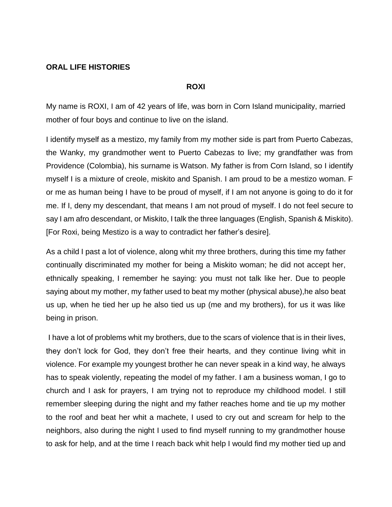#### **ORAL LIFE HISTORIES**

#### **ROXI**

My name is ROXI, I am of 42 years of life, was born in Corn Island municipality, married mother of four boys and continue to live on the island.

I identify myself as a mestizo, my family from my mother side is part from Puerto Cabezas, the Wanky, my grandmother went to Puerto Cabezas to live; my grandfather was from Providence (Colombia), his surname is Watson. My father is from Corn Island, so I identify myself I is a mixture of creole, miskito and Spanish. I am proud to be a mestizo woman. F or me as human being I have to be proud of myself, if I am not anyone is going to do it for me. If I, deny my descendant, that means I am not proud of myself. I do not feel secure to say I am afro descendant, or Miskito, I talk the three languages (English, Spanish & Miskito). [For Roxi, being Mestizo is a way to contradict her father's desire].

As a child I past a lot of violence, along whit my three brothers, during this time my father continually discriminated my mother for being a Miskito woman; he did not accept her, ethnically speaking, I remember he saying: you must not talk like her. Due to people saying about my mother, my father used to beat my mother (physical abuse),he also beat us up, when he tied her up he also tied us up (me and my brothers), for us it was like being in prison.

I have a lot of problems whit my brothers, due to the scars of violence that is in their lives, they don't lock for God, they don't free their hearts, and they continue living whit in violence. For example my youngest brother he can never speak in a kind way, he always has to speak violently, repeating the model of my father. I am a business woman, I go to church and I ask for prayers, I am trying not to reproduce my childhood model. I still remember sleeping during the night and my father reaches home and tie up my mother to the roof and beat her whit a machete, I used to cry out and scream for help to the neighbors, also during the night I used to find myself running to my grandmother house to ask for help, and at the time I reach back whit help I would find my mother tied up and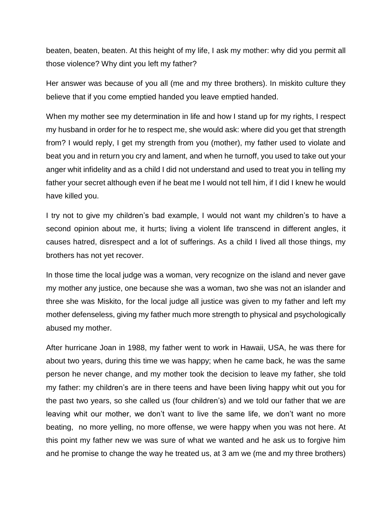beaten, beaten, beaten. At this height of my life, I ask my mother: why did you permit all those violence? Why dint you left my father?

Her answer was because of you all (me and my three brothers). In miskito culture they believe that if you come emptied handed you leave emptied handed.

When my mother see my determination in life and how I stand up for my rights, I respect my husband in order for he to respect me, she would ask: where did you get that strength from? I would reply, I get my strength from you (mother), my father used to violate and beat you and in return you cry and lament, and when he turnoff, you used to take out your anger whit infidelity and as a child I did not understand and used to treat you in telling my father your secret although even if he beat me I would not tell him, if I did I knew he would have killed you.

I try not to give my children's bad example, I would not want my children's to have a second opinion about me, it hurts; living a violent life transcend in different angles, it causes hatred, disrespect and a lot of sufferings. As a child I lived all those things, my brothers has not yet recover.

In those time the local judge was a woman, very recognize on the island and never gave my mother any justice, one because she was a woman, two she was not an islander and three she was Miskito, for the local judge all justice was given to my father and left my mother defenseless, giving my father much more strength to physical and psychologically abused my mother.

After hurricane Joan in 1988, my father went to work in Hawaii, USA, he was there for about two years, during this time we was happy; when he came back, he was the same person he never change, and my mother took the decision to leave my father, she told my father: my children's are in there teens and have been living happy whit out you for the past two years, so she called us (four children's) and we told our father that we are leaving whit our mother, we don't want to live the same life, we don't want no more beating, no more yelling, no more offense, we were happy when you was not here. At this point my father new we was sure of what we wanted and he ask us to forgive him and he promise to change the way he treated us, at 3 am we (me and my three brothers)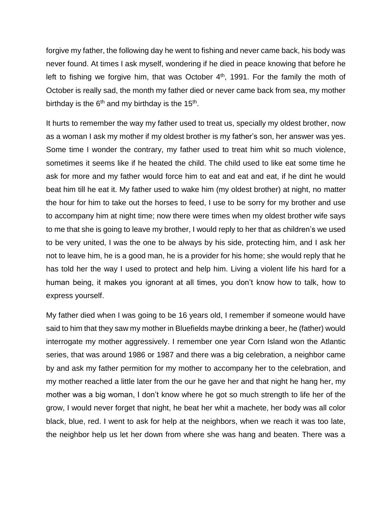forgive my father, the following day he went to fishing and never came back, his body was never found. At times I ask myself, wondering if he died in peace knowing that before he left to fishing we forgive him, that was October 4<sup>th</sup>, 1991. For the family the moth of October is really sad, the month my father died or never came back from sea, my mother birthday is the  $6<sup>th</sup>$  and my birthday is the 15<sup>th</sup>.

It hurts to remember the way my father used to treat us, specially my oldest brother, now as a woman I ask my mother if my oldest brother is my father's son, her answer was yes. Some time I wonder the contrary, my father used to treat him whit so much violence, sometimes it seems like if he heated the child. The child used to like eat some time he ask for more and my father would force him to eat and eat and eat, if he dint he would beat him till he eat it. My father used to wake him (my oldest brother) at night, no matter the hour for him to take out the horses to feed, I use to be sorry for my brother and use to accompany him at night time; now there were times when my oldest brother wife says to me that she is going to leave my brother, I would reply to her that as children's we used to be very united, I was the one to be always by his side, protecting him, and I ask her not to leave him, he is a good man, he is a provider for his home; she would reply that he has told her the way I used to protect and help him. Living a violent life his hard for a human being, it makes you ignorant at all times, you don't know how to talk, how to express yourself.

My father died when I was going to be 16 years old, I remember if someone would have said to him that they saw my mother in Bluefields maybe drinking a beer, he (father) would interrogate my mother aggressively. I remember one year Corn Island won the Atlantic series, that was around 1986 or 1987 and there was a big celebration, a neighbor came by and ask my father permition for my mother to accompany her to the celebration, and my mother reached a little later from the our he gave her and that night he hang her, my mother was a big woman, I don't know where he got so much strength to life her of the grow, I would never forget that night, he beat her whit a machete, her body was all color black, blue, red. I went to ask for help at the neighbors, when we reach it was too late, the neighbor help us let her down from where she was hang and beaten. There was a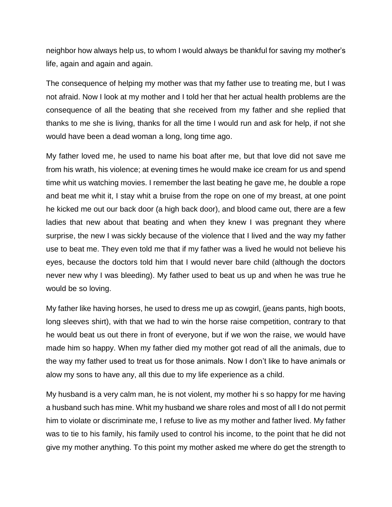neighbor how always help us, to whom I would always be thankful for saving my mother's life, again and again and again.

The consequence of helping my mother was that my father use to treating me, but I was not afraid. Now I look at my mother and I told her that her actual health problems are the consequence of all the beating that she received from my father and she replied that thanks to me she is living, thanks for all the time I would run and ask for help, if not she would have been a dead woman a long, long time ago.

My father loved me, he used to name his boat after me, but that love did not save me from his wrath, his violence; at evening times he would make ice cream for us and spend time whit us watching movies. I remember the last beating he gave me, he double a rope and beat me whit it, I stay whit a bruise from the rope on one of my breast, at one point he kicked me out our back door (a high back door), and blood came out, there are a few ladies that new about that beating and when they knew I was pregnant they where surprise, the new I was sickly because of the violence that I lived and the way my father use to beat me. They even told me that if my father was a lived he would not believe his eyes, because the doctors told him that I would never bare child (although the doctors never new why I was bleeding). My father used to beat us up and when he was true he would be so loving.

My father like having horses, he used to dress me up as cowgirl, (jeans pants, high boots, long sleeves shirt), with that we had to win the horse raise competition, contrary to that he would beat us out there in front of everyone, but if we won the raise, we would have made him so happy. When my father died my mother got read of all the animals, due to the way my father used to treat us for those animals. Now I don't like to have animals or alow my sons to have any, all this due to my life experience as a child.

My husband is a very calm man, he is not violent, my mother hi s so happy for me having a husband such has mine. Whit my husband we share roles and most of all I do not permit him to violate or discriminate me, I refuse to live as my mother and father lived. My father was to tie to his family, his family used to control his income, to the point that he did not give my mother anything. To this point my mother asked me where do get the strength to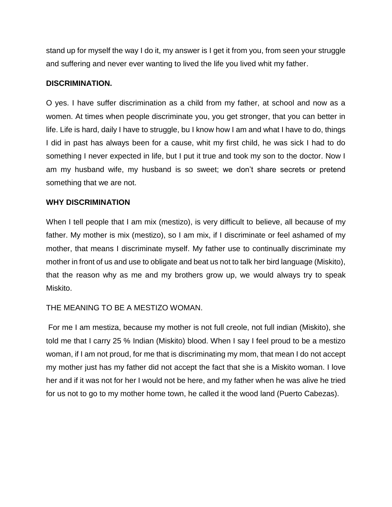stand up for myself the way I do it, my answer is I get it from you, from seen your struggle and suffering and never ever wanting to lived the life you lived whit my father.

#### **DISCRIMINATION.**

O yes. I have suffer discrimination as a child from my father, at school and now as a women. At times when people discriminate you, you get stronger, that you can better in life. Life is hard, daily I have to struggle, bu I know how I am and what I have to do, things I did in past has always been for a cause, whit my first child, he was sick I had to do something I never expected in life, but I put it true and took my son to the doctor. Now I am my husband wife, my husband is so sweet; we don't share secrets or pretend something that we are not.

#### **WHY DISCRIMINATION**

When I tell people that I am mix (mestizo), is very difficult to believe, all because of my father. My mother is mix (mestizo), so I am mix, if I discriminate or feel ashamed of my mother, that means I discriminate myself. My father use to continually discriminate my mother in front of us and use to obligate and beat us not to talk her bird language (Miskito), that the reason why as me and my brothers grow up, we would always try to speak Miskito.

### THE MEANING TO BE A MESTIZO WOMAN.

For me I am mestiza, because my mother is not full creole, not full indian (Miskito), she told me that I carry 25 % Indian (Miskito) blood. When I say I feel proud to be a mestizo woman, if I am not proud, for me that is discriminating my mom, that mean I do not accept my mother just has my father did not accept the fact that she is a Miskito woman. I love her and if it was not for her I would not be here, and my father when he was alive he tried for us not to go to my mother home town, he called it the wood land (Puerto Cabezas).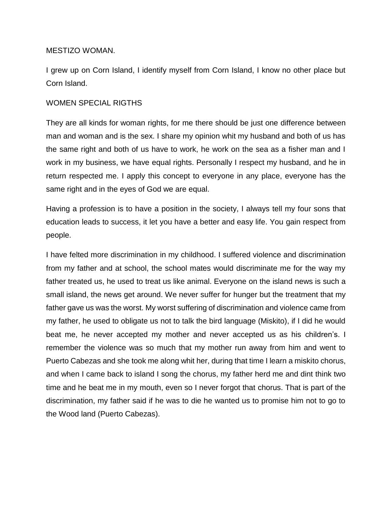#### MESTIZO WOMAN.

I grew up on Corn Island, I identify myself from Corn Island, I know no other place but Corn Island.

#### WOMEN SPECIAL RIGTHS

They are all kinds for woman rights, for me there should be just one difference between man and woman and is the sex. I share my opinion whit my husband and both of us has the same right and both of us have to work, he work on the sea as a fisher man and I work in my business, we have equal rights. Personally I respect my husband, and he in return respected me. I apply this concept to everyone in any place, everyone has the same right and in the eyes of God we are equal.

Having a profession is to have a position in the society, I always tell my four sons that education leads to success, it let you have a better and easy life. You gain respect from people.

I have felted more discrimination in my childhood. I suffered violence and discrimination from my father and at school, the school mates would discriminate me for the way my father treated us, he used to treat us like animal. Everyone on the island news is such a small island, the news get around. We never suffer for hunger but the treatment that my father gave us was the worst. My worst suffering of discrimination and violence came from my father, he used to obligate us not to talk the bird language (Miskito), if I did he would beat me, he never accepted my mother and never accepted us as his children's. I remember the violence was so much that my mother run away from him and went to Puerto Cabezas and she took me along whit her, during that time I learn a miskito chorus, and when I came back to island I song the chorus, my father herd me and dint think two time and he beat me in my mouth, even so I never forgot that chorus. That is part of the discrimination, my father said if he was to die he wanted us to promise him not to go to the Wood land (Puerto Cabezas).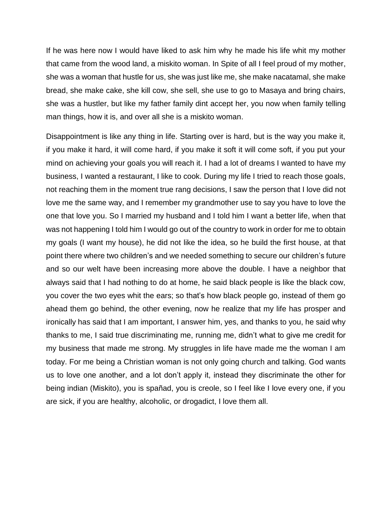If he was here now I would have liked to ask him why he made his life whit my mother that came from the wood land, a miskito woman. In Spite of all I feel proud of my mother, she was a woman that hustle for us, she was just like me, she make nacatamal, she make bread, she make cake, she kill cow, she sell, she use to go to Masaya and bring chairs, she was a hustler, but like my father family dint accept her, you now when family telling man things, how it is, and over all she is a miskito woman.

Disappointment is like any thing in life. Starting over is hard, but is the way you make it, if you make it hard, it will come hard, if you make it soft it will come soft, if you put your mind on achieving your goals you will reach it. I had a lot of dreams I wanted to have my business, I wanted a restaurant, I like to cook. During my life I tried to reach those goals, not reaching them in the moment true rang decisions, I saw the person that I love did not love me the same way, and I remember my grandmother use to say you have to love the one that love you. So I married my husband and I told him I want a better life, when that was not happening I told him I would go out of the country to work in order for me to obtain my goals (I want my house), he did not like the idea, so he build the first house, at that point there where two children's and we needed something to secure our children's future and so our welt have been increasing more above the double. I have a neighbor that always said that I had nothing to do at home, he said black people is like the black cow, you cover the two eyes whit the ears; so that's how black people go, instead of them go ahead them go behind, the other evening, now he realize that my life has prosper and ironically has said that I am important, I answer him, yes, and thanks to you, he said why thanks to me, I said true discriminating me, running me, didn't what to give me credit for my business that made me strong. My struggles in life have made me the woman I am today. For me being a Christian woman is not only going church and talking. God wants us to love one another, and a lot don't apply it, instead they discriminate the other for being indian (Miskito), you is spañad, you is creole, so I feel like I love every one, if you are sick, if you are healthy, alcoholic, or drogadict, I love them all.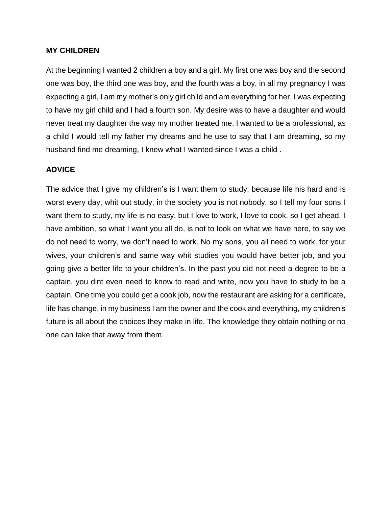#### **MY CHILDREN**

At the beginning I wanted 2 children a boy and a girl. My first one was boy and the second one was boy, the third one was boy, and the fourth was a boy, in all my pregnancy I was expecting a girl, I am my mother's only girl child and am everything for her, I was expecting to have my girl child and I had a fourth son. My desire was to have a daughter and would never treat my daughter the way my mother treated me. I wanted to be a professional, as a child I would tell my father my dreams and he use to say that I am dreaming, so my husband find me dreaming, I knew what I wanted since I was a child .

#### **ADVICE**

The advice that I give my children's is I want them to study, because life his hard and is worst every day, whit out study, in the society you is not nobody, so I tell my four sons I want them to study, my life is no easy, but I love to work, I love to cook, so I get ahead, I have ambition, so what I want you all do, is not to look on what we have here, to say we do not need to worry, we don't need to work. No my sons, you all need to work, for your wives, your children's and same way whit studies you would have better job, and you going give a better life to your children's. In the past you did not need a degree to be a captain, you dint even need to know to read and write, now you have to study to be a captain. One time you could get a cook job, now the restaurant are asking for a certificate, life has change, in my business I am the owner and the cook and everything, my children's future is all about the choices they make in life. The knowledge they obtain nothing or no one can take that away from them.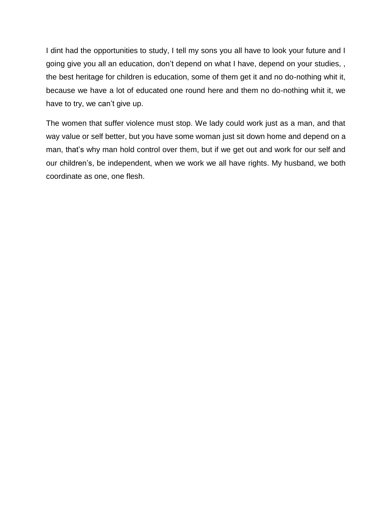I dint had the opportunities to study, I tell my sons you all have to look your future and I going give you all an education, don't depend on what I have, depend on your studies, , the best heritage for children is education, some of them get it and no do-nothing whit it, because we have a lot of educated one round here and them no do-nothing whit it, we have to try, we can't give up.

The women that suffer violence must stop. We lady could work just as a man, and that way value or self better, but you have some woman just sit down home and depend on a man, that's why man hold control over them, but if we get out and work for our self and our children's, be independent, when we work we all have rights. My husband, we both coordinate as one, one flesh.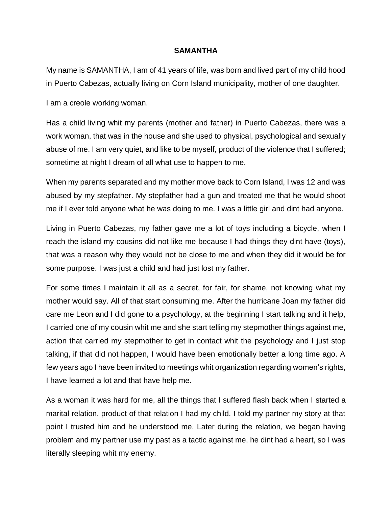#### **SAMANTHA**

My name is SAMANTHA, I am of 41 years of life, was born and lived part of my child hood in Puerto Cabezas, actually living on Corn Island municipality, mother of one daughter.

I am a creole working woman.

Has a child living whit my parents (mother and father) in Puerto Cabezas, there was a work woman, that was in the house and she used to physical, psychological and sexually abuse of me. I am very quiet, and like to be myself, product of the violence that I suffered; sometime at night I dream of all what use to happen to me.

When my parents separated and my mother move back to Corn Island, I was 12 and was abused by my stepfather. My stepfather had a gun and treated me that he would shoot me if I ever told anyone what he was doing to me. I was a little girl and dint had anyone.

Living in Puerto Cabezas, my father gave me a lot of toys including a bicycle, when I reach the island my cousins did not like me because I had things they dint have (toys), that was a reason why they would not be close to me and when they did it would be for some purpose. I was just a child and had just lost my father.

For some times I maintain it all as a secret, for fair, for shame, not knowing what my mother would say. All of that start consuming me. After the hurricane Joan my father did care me Leon and I did gone to a psychology, at the beginning I start talking and it help, I carried one of my cousin whit me and she start telling my stepmother things against me, action that carried my stepmother to get in contact whit the psychology and I just stop talking, if that did not happen, I would have been emotionally better a long time ago. A few years ago I have been invited to meetings whit organization regarding women's rights, I have learned a lot and that have help me.

As a woman it was hard for me, all the things that I suffered flash back when I started a marital relation, product of that relation I had my child. I told my partner my story at that point I trusted him and he understood me. Later during the relation, we began having problem and my partner use my past as a tactic against me, he dint had a heart, so I was literally sleeping whit my enemy.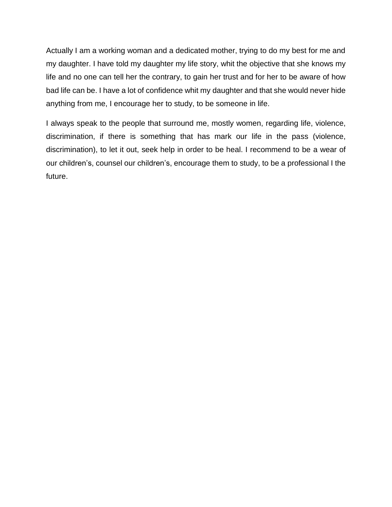Actually I am a working woman and a dedicated mother, trying to do my best for me and my daughter. I have told my daughter my life story, whit the objective that she knows my life and no one can tell her the contrary, to gain her trust and for her to be aware of how bad life can be. I have a lot of confidence whit my daughter and that she would never hide anything from me, I encourage her to study, to be someone in life.

I always speak to the people that surround me, mostly women, regarding life, violence, discrimination, if there is something that has mark our life in the pass (violence, discrimination), to let it out, seek help in order to be heal. I recommend to be a wear of our children's, counsel our children's, encourage them to study, to be a professional I the future.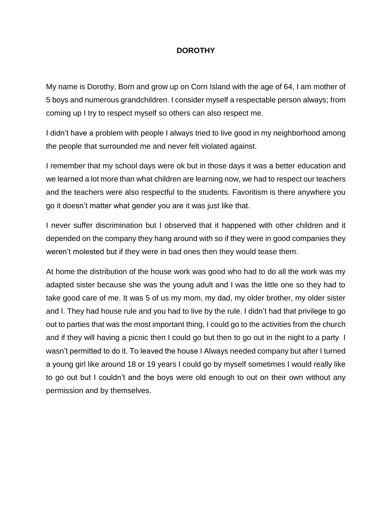#### **DOROTHY**

My name is Dorothy, Born and grow up on Corn Island with the age of 64, I am mother of 5 boys and numerous grandchildren. I consider myself a respectable person always; from coming up I try to respect myself so others can also respect me.

I didn't have a problem with people I always tried to live good in my neighborhood among the people that surrounded me and never felt violated against.

I remember that my school days were ok but in those days it was a better education and we learned a lot more than what children are learning now, we had to respect our teachers and the teachers were also respectful to the students. Favoritism is there anywhere you go it doesn't matter what gender you are it was just like that.

I never suffer discrimination but I observed that it happened with other children and it depended on the company they hang around with so if they were in good companies they weren't molested but if they were in bad ones then they would tease them.

At home the distribution of the house work was good who had to do all the work was my adapted sister because she was the young adult and I was the little one so they had to take good care of me. It was 5 of us my mom, my dad, my older brother, my older sister and I. They had house rule and you had to live by the rule. I didn't had that privilege to go out to parties that was the most important thing, I could go to the activities from the church and if they will having a picnic then I could go but then to go out in the night to a party I wasn't permitted to do it. To leaved the house I Always needed company but after I turned a young girl like around 18 or 19 years I could go by myself sometimes I would really like to go out but I couldn't and the boys were old enough to out on their own without any permission and by themselves.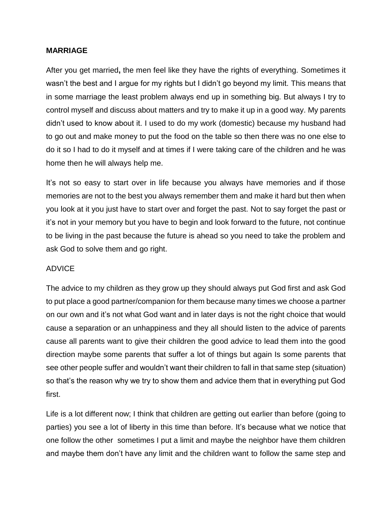#### **MARRIAGE**

After you get married**,** the men feel like they have the rights of everything. Sometimes it wasn't the best and I argue for my rights but I didn't go beyond my limit. This means that in some marriage the least problem always end up in something big. But always I try to control myself and discuss about matters and try to make it up in a good way. My parents didn't used to know about it. I used to do my work (domestic) because my husband had to go out and make money to put the food on the table so then there was no one else to do it so I had to do it myself and at times if I were taking care of the children and he was home then he will always help me.

It's not so easy to start over in life because you always have memories and if those memories are not to the best you always remember them and make it hard but then when you look at it you just have to start over and forget the past. Not to say forget the past or it's not in your memory but you have to begin and look forward to the future, not continue to be living in the past because the future is ahead so you need to take the problem and ask God to solve them and go right.

#### ADVICE

The advice to my children as they grow up they should always put God first and ask God to put place a good partner/companion for them because many times we choose a partner on our own and it's not what God want and in later days is not the right choice that would cause a separation or an unhappiness and they all should listen to the advice of parents cause all parents want to give their children the good advice to lead them into the good direction maybe some parents that suffer a lot of things but again Is some parents that see other people suffer and wouldn't want their children to fall in that same step (situation) so that's the reason why we try to show them and advice them that in everything put God first.

Life is a lot different now; I think that children are getting out earlier than before (going to parties) you see a lot of liberty in this time than before. It's because what we notice that one follow the other sometimes I put a limit and maybe the neighbor have them children and maybe them don't have any limit and the children want to follow the same step and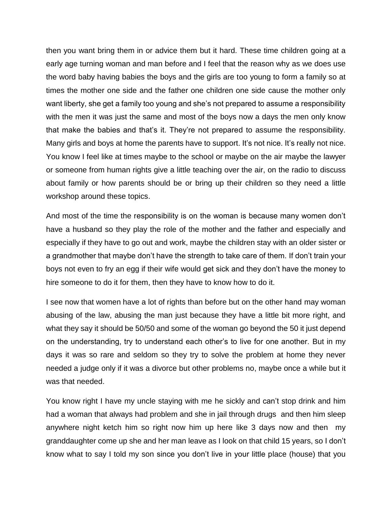then you want bring them in or advice them but it hard. These time children going at a early age turning woman and man before and I feel that the reason why as we does use the word baby having babies the boys and the girls are too young to form a family so at times the mother one side and the father one children one side cause the mother only want liberty, she get a family too young and she's not prepared to assume a responsibility with the men it was just the same and most of the boys now a days the men only know that make the babies and that's it. They're not prepared to assume the responsibility. Many girls and boys at home the parents have to support. It's not nice. It's really not nice. You know I feel like at times maybe to the school or maybe on the air maybe the lawyer or someone from human rights give a little teaching over the air, on the radio to discuss about family or how parents should be or bring up their children so they need a little workshop around these topics.

And most of the time the responsibility is on the woman is because many women don't have a husband so they play the role of the mother and the father and especially and especially if they have to go out and work, maybe the children stay with an older sister or a grandmother that maybe don't have the strength to take care of them. If don't train your boys not even to fry an egg if their wife would get sick and they don't have the money to hire someone to do it for them, then they have to know how to do it.

I see now that women have a lot of rights than before but on the other hand may woman abusing of the law, abusing the man just because they have a little bit more right, and what they say it should be 50/50 and some of the woman go beyond the 50 it just depend on the understanding, try to understand each other's to live for one another. But in my days it was so rare and seldom so they try to solve the problem at home they never needed a judge only if it was a divorce but other problems no, maybe once a while but it was that needed.

You know right I have my uncle staying with me he sickly and can't stop drink and him had a woman that always had problem and she in jail through drugs and then him sleep anywhere night ketch him so right now him up here like 3 days now and then my granddaughter come up she and her man leave as I look on that child 15 years, so I don't know what to say I told my son since you don't live in your little place (house) that you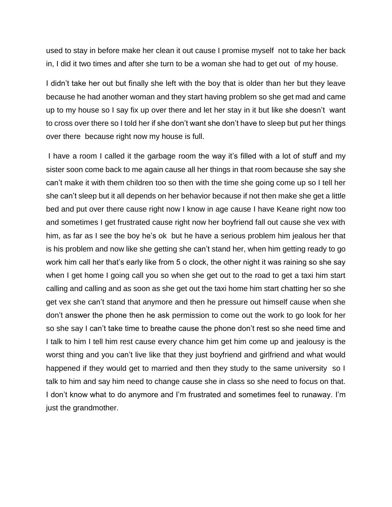used to stay in before make her clean it out cause I promise myself not to take her back in, I did it two times and after she turn to be a woman she had to get out of my house.

I didn't take her out but finally she left with the boy that is older than her but they leave because he had another woman and they start having problem so she get mad and came up to my house so I say fix up over there and let her stay in it but like she doesn't want to cross over there so I told her if she don't want she don't have to sleep but put her things over there because right now my house is full.

I have a room I called it the garbage room the way it's filled with a lot of stuff and my sister soon come back to me again cause all her things in that room because she say she can't make it with them children too so then with the time she going come up so I tell her she can't sleep but it all depends on her behavior because if not then make she get a little bed and put over there cause right now I know in age cause I have Keane right now too and sometimes I get frustrated cause right now her boyfriend fall out cause she vex with him, as far as I see the boy he's ok but he have a serious problem him jealous her that is his problem and now like she getting she can't stand her, when him getting ready to go work him call her that's early like from 5 o clock, the other night it was raining so she say when I get home I going call you so when she get out to the road to get a taxi him start calling and calling and as soon as she get out the taxi home him start chatting her so she get vex she can't stand that anymore and then he pressure out himself cause when she don't answer the phone then he ask permission to come out the work to go look for her so she say I can't take time to breathe cause the phone don't rest so she need time and I talk to him I tell him rest cause every chance him get him come up and jealousy is the worst thing and you can't live like that they just boyfriend and girlfriend and what would happened if they would get to married and then they study to the same university so I talk to him and say him need to change cause she in class so she need to focus on that. I don't know what to do anymore and I'm frustrated and sometimes feel to runaway. I'm just the grandmother.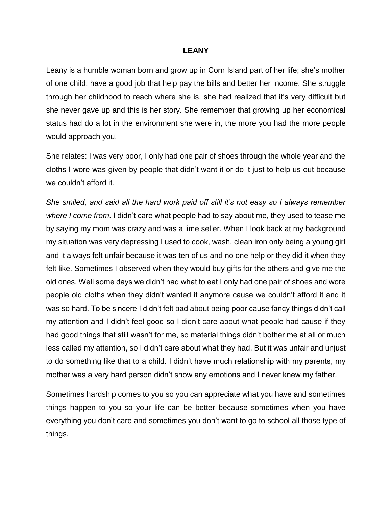#### **LEANY**

Leany is a humble woman born and grow up in Corn Island part of her life; she's mother of one child, have a good job that help pay the bills and better her income. She struggle through her childhood to reach where she is, she had realized that it's very difficult but she never gave up and this is her story. She remember that growing up her economical status had do a lot in the environment she were in, the more you had the more people would approach you.

She relates: I was very poor, I only had one pair of shoes through the whole year and the cloths I wore was given by people that didn't want it or do it just to help us out because we couldn't afford it.

*She smiled, and said all the hard work paid off still it's not easy so I always remember where I come from*. I didn't care what people had to say about me, they used to tease me by saying my mom was crazy and was a lime seller. When I look back at my background my situation was very depressing I used to cook, wash, clean iron only being a young girl and it always felt unfair because it was ten of us and no one help or they did it when they felt like. Sometimes I observed when they would buy gifts for the others and give me the old ones. Well some days we didn't had what to eat I only had one pair of shoes and wore people old cloths when they didn't wanted it anymore cause we couldn't afford it and it was so hard. To be sincere I didn't felt bad about being poor cause fancy things didn't call my attention and I didn't feel good so I didn't care about what people had cause if they had good things that still wasn't for me, so material things didn't bother me at all or much less called my attention, so I didn't care about what they had. But it was unfair and unjust to do something like that to a child. I didn't have much relationship with my parents, my mother was a very hard person didn't show any emotions and I never knew my father.

Sometimes hardship comes to you so you can appreciate what you have and sometimes things happen to you so your life can be better because sometimes when you have everything you don't care and sometimes you don't want to go to school all those type of things.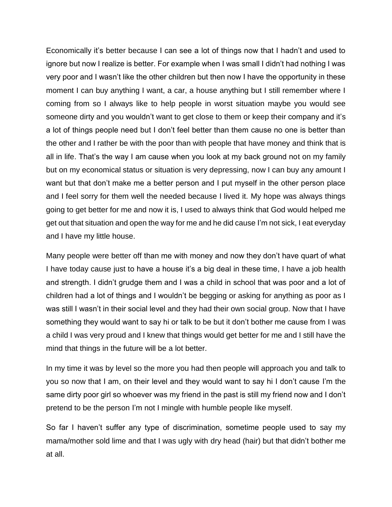Economically it's better because I can see a lot of things now that I hadn't and used to ignore but now I realize is better. For example when I was small I didn't had nothing I was very poor and I wasn't like the other children but then now I have the opportunity in these moment I can buy anything I want, a car, a house anything but I still remember where I coming from so I always like to help people in worst situation maybe you would see someone dirty and you wouldn't want to get close to them or keep their company and it's a lot of things people need but I don't feel better than them cause no one is better than the other and I rather be with the poor than with people that have money and think that is all in life. That's the way I am cause when you look at my back ground not on my family but on my economical status or situation is very depressing, now I can buy any amount I want but that don't make me a better person and I put myself in the other person place and I feel sorry for them well the needed because I lived it. My hope was always things going to get better for me and now it is, I used to always think that God would helped me get out that situation and open the way for me and he did cause I'm not sick, I eat everyday and I have my little house.

Many people were better off than me with money and now they don't have quart of what I have today cause just to have a house it's a big deal in these time, I have a job health and strength. I didn't grudge them and I was a child in school that was poor and a lot of children had a lot of things and I wouldn't be begging or asking for anything as poor as I was still I wasn't in their social level and they had their own social group. Now that I have something they would want to say hi or talk to be but it don't bother me cause from I was a child I was very proud and I knew that things would get better for me and I still have the mind that things in the future will be a lot better.

In my time it was by level so the more you had then people will approach you and talk to you so now that I am, on their level and they would want to say hi I don't cause I'm the same dirty poor girl so whoever was my friend in the past is still my friend now and I don't pretend to be the person I'm not I mingle with humble people like myself.

So far I haven't suffer any type of discrimination, sometime people used to say my mama/mother sold lime and that I was ugly with dry head (hair) but that didn't bother me at all.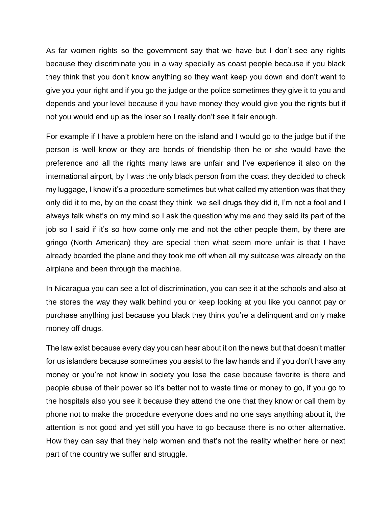As far women rights so the government say that we have but I don't see any rights because they discriminate you in a way specially as coast people because if you black they think that you don't know anything so they want keep you down and don't want to give you your right and if you go the judge or the police sometimes they give it to you and depends and your level because if you have money they would give you the rights but if not you would end up as the loser so I really don't see it fair enough.

For example if I have a problem here on the island and I would go to the judge but if the person is well know or they are bonds of friendship then he or she would have the preference and all the rights many laws are unfair and I've experience it also on the international airport, by I was the only black person from the coast they decided to check my luggage, I know it's a procedure sometimes but what called my attention was that they only did it to me, by on the coast they think we sell drugs they did it, I'm not a fool and I always talk what's on my mind so I ask the question why me and they said its part of the job so I said if it's so how come only me and not the other people them, by there are gringo (North American) they are special then what seem more unfair is that I have already boarded the plane and they took me off when all my suitcase was already on the airplane and been through the machine.

In Nicaragua you can see a lot of discrimination, you can see it at the schools and also at the stores the way they walk behind you or keep looking at you like you cannot pay or purchase anything just because you black they think you're a delinquent and only make money off drugs.

The law exist because every day you can hear about it on the news but that doesn't matter for us islanders because sometimes you assist to the law hands and if you don't have any money or you're not know in society you lose the case because favorite is there and people abuse of their power so it's better not to waste time or money to go, if you go to the hospitals also you see it because they attend the one that they know or call them by phone not to make the procedure everyone does and no one says anything about it, the attention is not good and yet still you have to go because there is no other alternative. How they can say that they help women and that's not the reality whether here or next part of the country we suffer and struggle.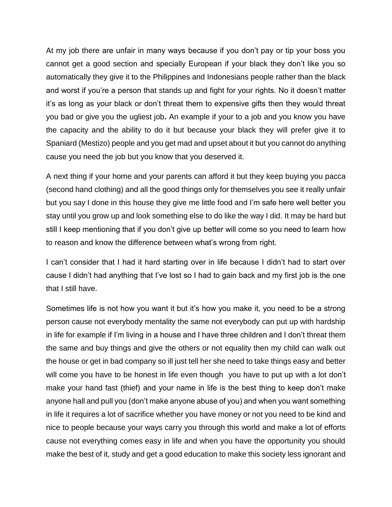At my job there are unfair in many ways because if you don't pay or tip your boss you cannot get a good section and specially European if your black they don't like you so automatically they give it to the Philippines and Indonesians people rather than the black and worst if you're a person that stands up and fight for your rights. No it doesn't matter it's as long as your black or don't threat them to expensive gifts then they would threat you bad or give you the ugliest job**.** An example if your to a job and you know you have the capacity and the ability to do it but because your black they will prefer give it to Spaniard (Mestizo) people and you get mad and upset about it but you cannot do anything cause you need the job but you know that you deserved it.

A next thing if your home and your parents can afford it but they keep buying you pacca (second hand clothing) and all the good things only for themselves you see it really unfair but you say I done in this house they give me little food and I'm safe here well better you stay until you grow up and look something else to do like the way I did. It may be hard but still I keep mentioning that if you don't give up better will come so you need to learn how to reason and know the difference between what's wrong from right.

I can't consider that I had it hard starting over in life because I didn't had to start over cause I didn't had anything that I've lost so I had to gain back and my first job is the one that I still have.

Sometimes life is not how you want it but it's how you make it, you need to be a strong person cause not everybody mentality the same not everybody can put up with hardship in life for example if I'm living in a house and I have three children and I don't threat them the same and buy things and give the others or not equality then my child can walk out the house or get in bad company so ill just tell her she need to take things easy and better will come you have to be honest in life even though you have to put up with a lot don't make your hand fast (thief) and your name in life is the best thing to keep don't make anyone hall and pull you (don't make anyone abuse of you) and when you want something in life it requires a lot of sacrifice whether you have money or not you need to be kind and nice to people because your ways carry you through this world and make a lot of efforts cause not everything comes easy in life and when you have the opportunity you should make the best of it, study and get a good education to make this society less ignorant and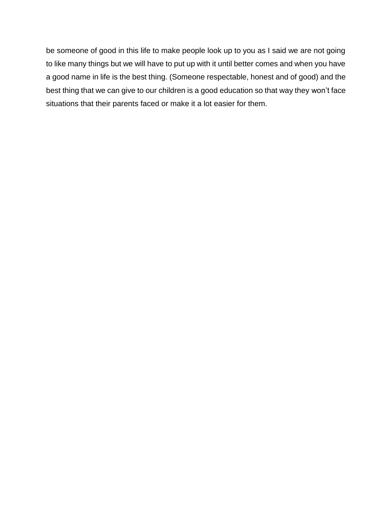be someone of good in this life to make people look up to you as I said we are not going to like many things but we will have to put up with it until better comes and when you have a good name in life is the best thing. (Someone respectable, honest and of good) and the best thing that we can give to our children is a good education so that way they won't face situations that their parents faced or make it a lot easier for them.